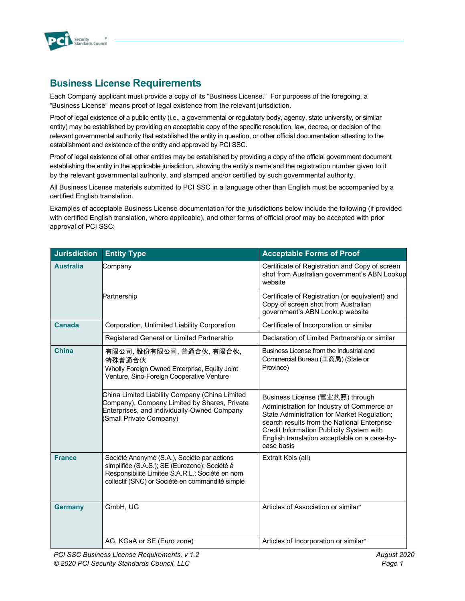

## **Business License Requirements**

Each Company applicant must provide a copy of its "Business License." For purposes of the foregoing, a "Business License" means proof of legal existence from the relevant jurisdiction.

Proof of legal existence of a public entity (i.e., a governmental or regulatory body, agency, state university, or similar entity) may be established by providing an acceptable copy of the specific resolution, law, decree, or decision of the relevant governmental authority that established the entity in question, or other official documentation attesting to the establishment and existence of the entity and approved by PCI SSC.

Proof of legal existence of all other entities may be established by providing a copy of the official government document establishing the entity in the applicable jurisdiction, showing the entity's name and the registration number given to it by the relevant governmental authority, and stamped and/or certified by such governmental authority.

All Business License materials submitted to PCI SSC in a language other than English must be accompanied by a certified English translation.

Examples of acceptable Business License documentation for the jurisdictions below include the following (if provided with certified English translation, where applicable), and other forms of official proof may be accepted with prior approval of PCI SSC:

| <b>Jurisdiction</b> | <b>Entity Type</b>                                                                                                                                                                                 | <b>Acceptable Forms of Proof</b>                                                                                                                                                                                                                                                      |
|---------------------|----------------------------------------------------------------------------------------------------------------------------------------------------------------------------------------------------|---------------------------------------------------------------------------------------------------------------------------------------------------------------------------------------------------------------------------------------------------------------------------------------|
| <b>Australia</b>    | Company                                                                                                                                                                                            | Certificate of Registration and Copy of screen<br>shot from Australian government's ABN Lookup<br>website                                                                                                                                                                             |
|                     | Partnership                                                                                                                                                                                        | Certificate of Registration (or equivalent) and<br>Copy of screen shot from Australian<br>government's ABN Lookup website                                                                                                                                                             |
| <b>Canada</b>       | Corporation, Unlimited Liability Corporation                                                                                                                                                       | Certificate of Incorporation or similar                                                                                                                                                                                                                                               |
|                     | Registered General or Limited Partnership                                                                                                                                                          | Declaration of Limited Partnership or similar                                                                                                                                                                                                                                         |
| China               | 有限公司, 股份有限公司, 普通合伙, 有限合伙,<br>特殊普通合伙<br>Wholly Foreign Owned Enterprise, Equity Joint<br>Venture, Sino-Foreign Cooperative Venture                                                                  | Business License from the Industrial and<br>Commercial Bureau (工商局) (State or<br>Province)                                                                                                                                                                                            |
|                     | China Limited Liability Company (China Limited<br>Company), Company Limited by Shares, Private<br>Enterprises, and Individually-Owned Company<br>(Small Private Company)                           | Business License (营业执照) through<br>Administration for Industry of Commerce or<br>State Administration for Market Regulation;<br>search results from the National Enterprise<br>Credit Information Publicity System with<br>English translation acceptable on a case-by-<br>case basis |
| <b>France</b>       | Société Anonymé (S.A.), Sociéte par actions<br>simplifiée (S.A.S.); SE (Eurozone); Société à<br>Responsibilité Limitée S.A.R.L.; Société en nom<br>collectif (SNC) or Société en commandité simple | Extrait Kbis (all)                                                                                                                                                                                                                                                                    |
| <b>Germany</b>      | GmbH, UG                                                                                                                                                                                           | Articles of Association or similar*                                                                                                                                                                                                                                                   |
|                     | AG, KGaA or SE (Euro zone)                                                                                                                                                                         | Articles of Incorporation or similar*                                                                                                                                                                                                                                                 |